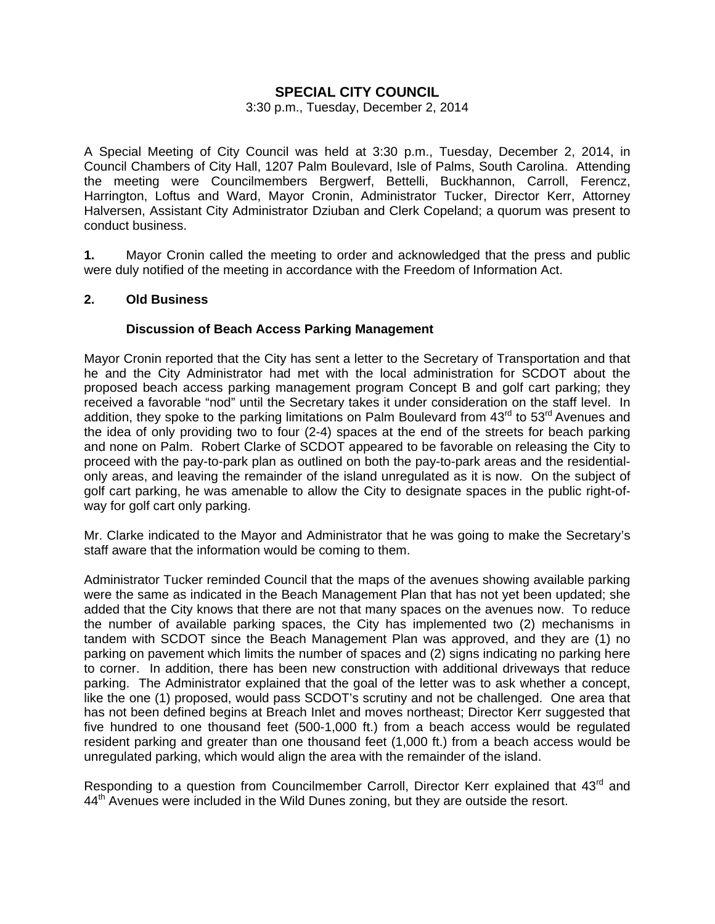# **SPECIAL CITY COUNCIL**

#### 3:30 p.m., Tuesday, December 2, 2014

A Special Meeting of City Council was held at 3:30 p.m., Tuesday, December 2, 2014, in Council Chambers of City Hall, 1207 Palm Boulevard, Isle of Palms, South Carolina. Attending the meeting were Councilmembers Bergwerf, Bettelli, Buckhannon, Carroll, Ferencz, Harrington, Loftus and Ward, Mayor Cronin, Administrator Tucker, Director Kerr, Attorney Halversen, Assistant City Administrator Dziuban and Clerk Copeland; a quorum was present to conduct business.

**1.** Mayor Cronin called the meeting to order and acknowledged that the press and public were duly notified of the meeting in accordance with the Freedom of Information Act.

#### **2. Old Business**

#### **Discussion of Beach Access Parking Management**

Mayor Cronin reported that the City has sent a letter to the Secretary of Transportation and that he and the City Administrator had met with the local administration for SCDOT about the proposed beach access parking management program Concept B and golf cart parking; they received a favorable "nod" until the Secretary takes it under consideration on the staff level. In addition, they spoke to the parking limitations on Palm Boulevard from  $43<sup>rd</sup>$  to  $53<sup>rd</sup>$  Avenues and the idea of only providing two to four (2-4) spaces at the end of the streets for beach parking and none on Palm. Robert Clarke of SCDOT appeared to be favorable on releasing the City to proceed with the pay-to-park plan as outlined on both the pay-to-park areas and the residentialonly areas, and leaving the remainder of the island unregulated as it is now. On the subject of golf cart parking, he was amenable to allow the City to designate spaces in the public right-ofway for golf cart only parking.

Mr. Clarke indicated to the Mayor and Administrator that he was going to make the Secretary's staff aware that the information would be coming to them.

Administrator Tucker reminded Council that the maps of the avenues showing available parking were the same as indicated in the Beach Management Plan that has not yet been updated; she added that the City knows that there are not that many spaces on the avenues now. To reduce the number of available parking spaces, the City has implemented two (2) mechanisms in tandem with SCDOT since the Beach Management Plan was approved, and they are (1) no parking on pavement which limits the number of spaces and (2) signs indicating no parking here to corner. In addition, there has been new construction with additional driveways that reduce parking. The Administrator explained that the goal of the letter was to ask whether a concept, like the one (1) proposed, would pass SCDOT's scrutiny and not be challenged. One area that has not been defined begins at Breach Inlet and moves northeast; Director Kerr suggested that five hundred to one thousand feet (500-1,000 ft.) from a beach access would be regulated resident parking and greater than one thousand feet (1,000 ft.) from a beach access would be unregulated parking, which would align the area with the remainder of the island.

Responding to a question from Councilmember Carroll, Director Kerr explained that 43<sup>rd</sup> and 44<sup>th</sup> Avenues were included in the Wild Dunes zoning, but they are outside the resort.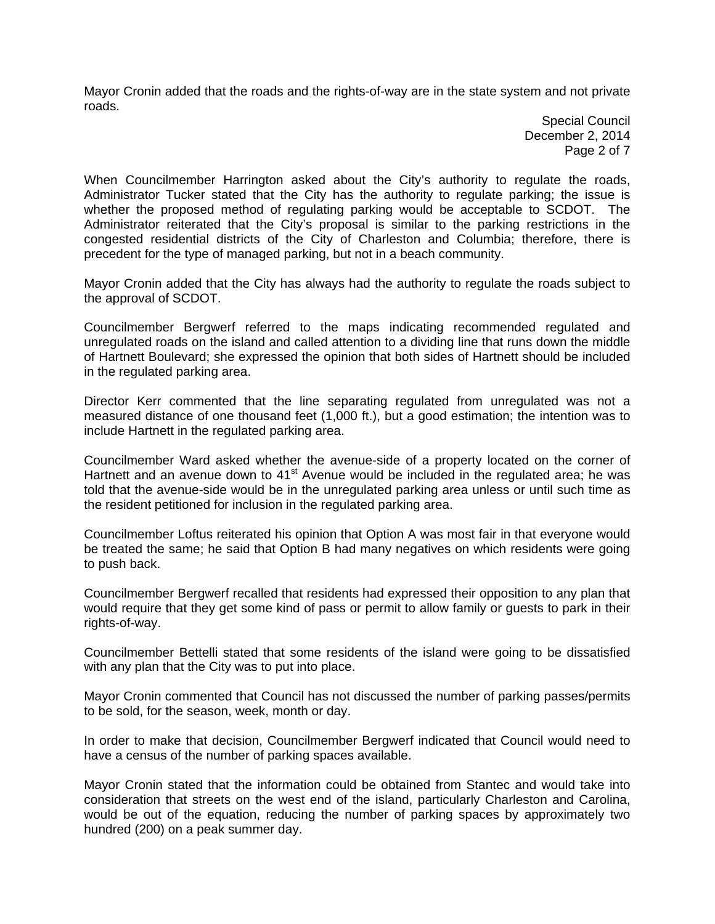Mayor Cronin added that the roads and the rights-of-way are in the state system and not private roads.

> Special Council December 2, 2014 Page 2 of 7

When Councilmember Harrington asked about the City's authority to regulate the roads, Administrator Tucker stated that the City has the authority to regulate parking; the issue is whether the proposed method of regulating parking would be acceptable to SCDOT. The Administrator reiterated that the City's proposal is similar to the parking restrictions in the congested residential districts of the City of Charleston and Columbia; therefore, there is precedent for the type of managed parking, but not in a beach community.

Mayor Cronin added that the City has always had the authority to regulate the roads subject to the approval of SCDOT.

Councilmember Bergwerf referred to the maps indicating recommended regulated and unregulated roads on the island and called attention to a dividing line that runs down the middle of Hartnett Boulevard; she expressed the opinion that both sides of Hartnett should be included in the regulated parking area.

Director Kerr commented that the line separating regulated from unregulated was not a measured distance of one thousand feet (1,000 ft.), but a good estimation; the intention was to include Hartnett in the regulated parking area.

Councilmember Ward asked whether the avenue-side of a property located on the corner of Hartnett and an avenue down to 41<sup>st</sup> Avenue would be included in the regulated area; he was told that the avenue-side would be in the unregulated parking area unless or until such time as the resident petitioned for inclusion in the regulated parking area.

Councilmember Loftus reiterated his opinion that Option A was most fair in that everyone would be treated the same; he said that Option B had many negatives on which residents were going to push back.

Councilmember Bergwerf recalled that residents had expressed their opposition to any plan that would require that they get some kind of pass or permit to allow family or guests to park in their rights-of-way.

Councilmember Bettelli stated that some residents of the island were going to be dissatisfied with any plan that the City was to put into place.

Mayor Cronin commented that Council has not discussed the number of parking passes/permits to be sold, for the season, week, month or day.

In order to make that decision, Councilmember Bergwerf indicated that Council would need to have a census of the number of parking spaces available.

Mayor Cronin stated that the information could be obtained from Stantec and would take into consideration that streets on the west end of the island, particularly Charleston and Carolina, would be out of the equation, reducing the number of parking spaces by approximately two hundred (200) on a peak summer day.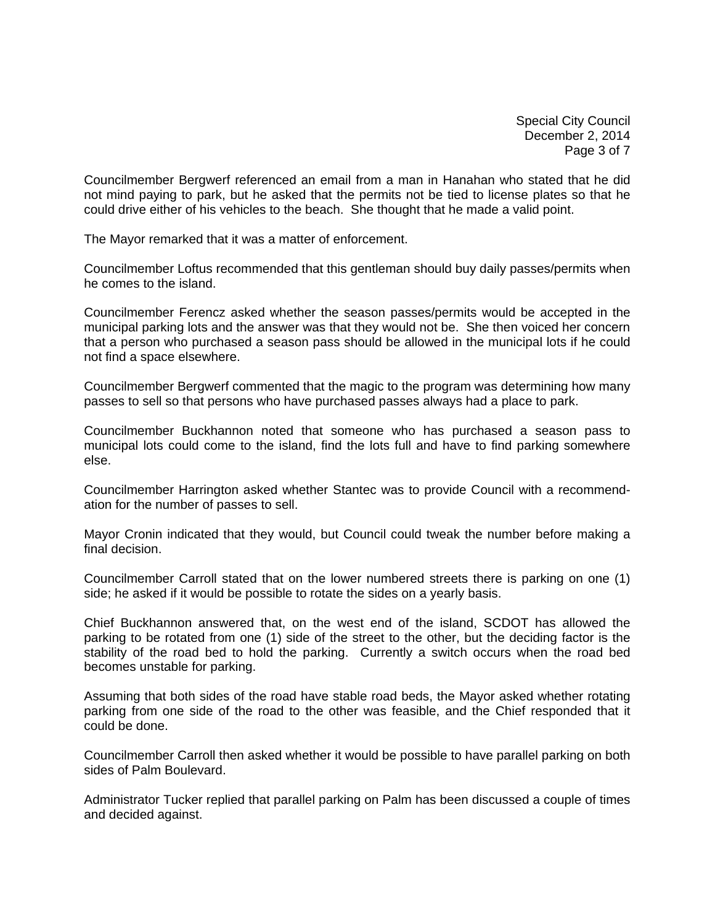Special City Council December 2, 2014 Page 3 of 7

Councilmember Bergwerf referenced an email from a man in Hanahan who stated that he did not mind paying to park, but he asked that the permits not be tied to license plates so that he could drive either of his vehicles to the beach. She thought that he made a valid point.

The Mayor remarked that it was a matter of enforcement.

Councilmember Loftus recommended that this gentleman should buy daily passes/permits when he comes to the island.

Councilmember Ferencz asked whether the season passes/permits would be accepted in the municipal parking lots and the answer was that they would not be. She then voiced her concern that a person who purchased a season pass should be allowed in the municipal lots if he could not find a space elsewhere.

Councilmember Bergwerf commented that the magic to the program was determining how many passes to sell so that persons who have purchased passes always had a place to park.

Councilmember Buckhannon noted that someone who has purchased a season pass to municipal lots could come to the island, find the lots full and have to find parking somewhere else.

Councilmember Harrington asked whether Stantec was to provide Council with a recommendation for the number of passes to sell.

Mayor Cronin indicated that they would, but Council could tweak the number before making a final decision.

Councilmember Carroll stated that on the lower numbered streets there is parking on one (1) side; he asked if it would be possible to rotate the sides on a yearly basis.

Chief Buckhannon answered that, on the west end of the island, SCDOT has allowed the parking to be rotated from one (1) side of the street to the other, but the deciding factor is the stability of the road bed to hold the parking. Currently a switch occurs when the road bed becomes unstable for parking.

Assuming that both sides of the road have stable road beds, the Mayor asked whether rotating parking from one side of the road to the other was feasible, and the Chief responded that it could be done.

Councilmember Carroll then asked whether it would be possible to have parallel parking on both sides of Palm Boulevard.

Administrator Tucker replied that parallel parking on Palm has been discussed a couple of times and decided against.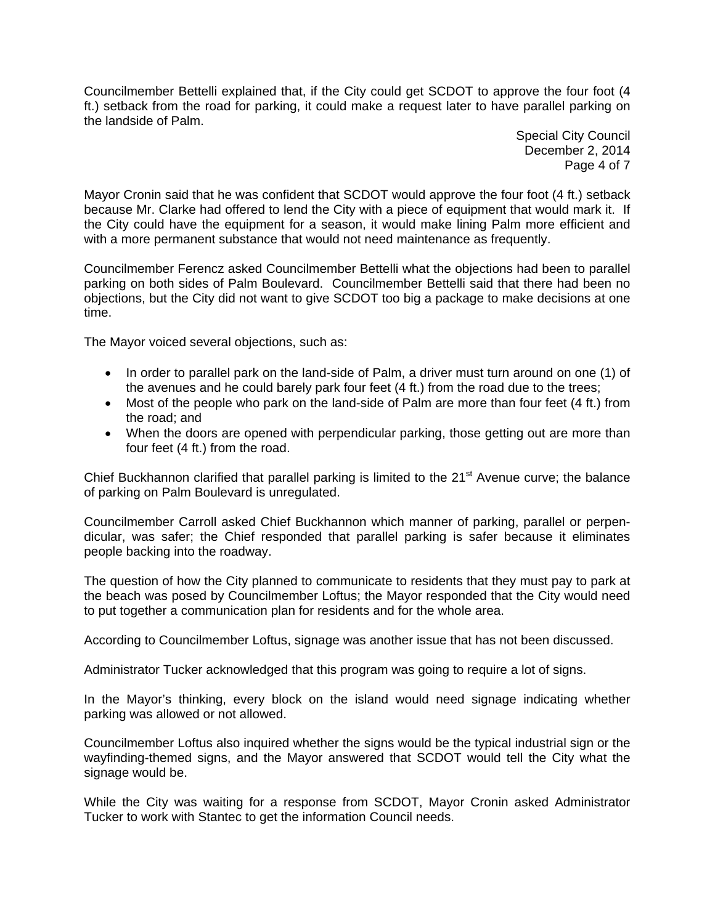Councilmember Bettelli explained that, if the City could get SCDOT to approve the four foot (4 ft.) setback from the road for parking, it could make a request later to have parallel parking on the landside of Palm.

> Special City Council December 2, 2014 Page 4 of 7

Mayor Cronin said that he was confident that SCDOT would approve the four foot (4 ft.) setback because Mr. Clarke had offered to lend the City with a piece of equipment that would mark it. If the City could have the equipment for a season, it would make lining Palm more efficient and with a more permanent substance that would not need maintenance as frequently.

Councilmember Ferencz asked Councilmember Bettelli what the objections had been to parallel parking on both sides of Palm Boulevard. Councilmember Bettelli said that there had been no objections, but the City did not want to give SCDOT too big a package to make decisions at one time.

The Mayor voiced several objections, such as:

- In order to parallel park on the land-side of Palm, a driver must turn around on one (1) of the avenues and he could barely park four feet (4 ft.) from the road due to the trees;
- Most of the people who park on the land-side of Palm are more than four feet (4 ft.) from the road; and
- When the doors are opened with perpendicular parking, those getting out are more than four feet (4 ft.) from the road.

Chief Buckhannon clarified that parallel parking is limited to the 21<sup>st</sup> Avenue curve; the balance of parking on Palm Boulevard is unregulated.

Councilmember Carroll asked Chief Buckhannon which manner of parking, parallel or perpendicular, was safer; the Chief responded that parallel parking is safer because it eliminates people backing into the roadway.

The question of how the City planned to communicate to residents that they must pay to park at the beach was posed by Councilmember Loftus; the Mayor responded that the City would need to put together a communication plan for residents and for the whole area.

According to Councilmember Loftus, signage was another issue that has not been discussed.

Administrator Tucker acknowledged that this program was going to require a lot of signs.

In the Mayor's thinking, every block on the island would need signage indicating whether parking was allowed or not allowed.

Councilmember Loftus also inquired whether the signs would be the typical industrial sign or the wayfinding-themed signs, and the Mayor answered that SCDOT would tell the City what the signage would be.

While the City was waiting for a response from SCDOT, Mayor Cronin asked Administrator Tucker to work with Stantec to get the information Council needs.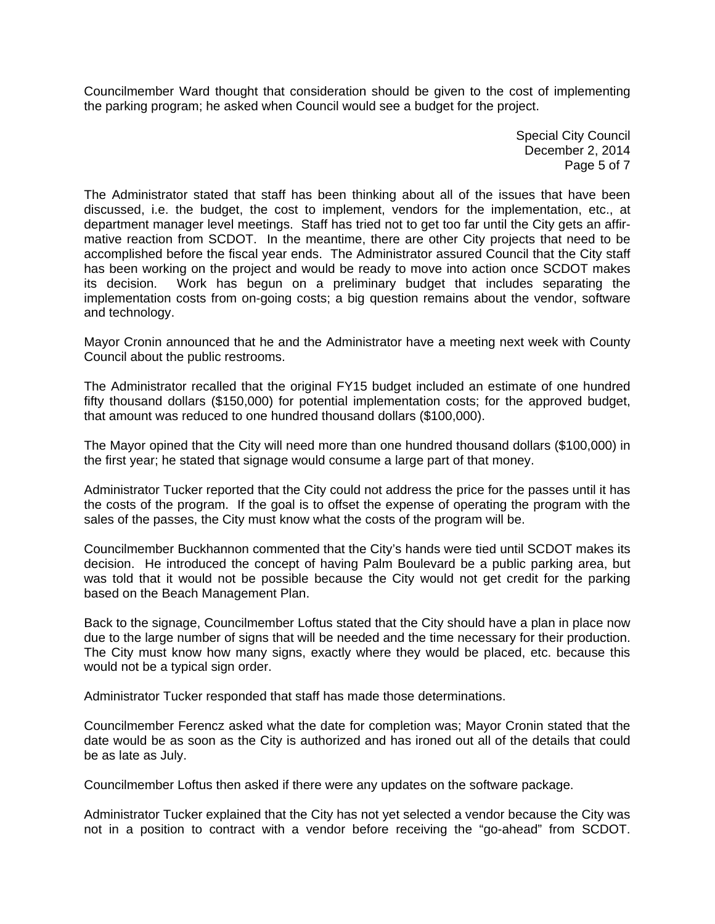Councilmember Ward thought that consideration should be given to the cost of implementing the parking program; he asked when Council would see a budget for the project.

> Special City Council December 2, 2014 Page 5 of 7

The Administrator stated that staff has been thinking about all of the issues that have been discussed, i.e. the budget, the cost to implement, vendors for the implementation, etc., at department manager level meetings. Staff has tried not to get too far until the City gets an affirmative reaction from SCDOT. In the meantime, there are other City projects that need to be accomplished before the fiscal year ends. The Administrator assured Council that the City staff has been working on the project and would be ready to move into action once SCDOT makes its decision. Work has begun on a preliminary budget that includes separating the implementation costs from on-going costs; a big question remains about the vendor, software and technology.

Mayor Cronin announced that he and the Administrator have a meeting next week with County Council about the public restrooms.

The Administrator recalled that the original FY15 budget included an estimate of one hundred fifty thousand dollars (\$150,000) for potential implementation costs; for the approved budget, that amount was reduced to one hundred thousand dollars (\$100,000).

The Mayor opined that the City will need more than one hundred thousand dollars (\$100,000) in the first year; he stated that signage would consume a large part of that money.

Administrator Tucker reported that the City could not address the price for the passes until it has the costs of the program. If the goal is to offset the expense of operating the program with the sales of the passes, the City must know what the costs of the program will be.

Councilmember Buckhannon commented that the City's hands were tied until SCDOT makes its decision. He introduced the concept of having Palm Boulevard be a public parking area, but was told that it would not be possible because the City would not get credit for the parking based on the Beach Management Plan.

Back to the signage, Councilmember Loftus stated that the City should have a plan in place now due to the large number of signs that will be needed and the time necessary for their production. The City must know how many signs, exactly where they would be placed, etc. because this would not be a typical sign order.

Administrator Tucker responded that staff has made those determinations.

Councilmember Ferencz asked what the date for completion was; Mayor Cronin stated that the date would be as soon as the City is authorized and has ironed out all of the details that could be as late as July.

Councilmember Loftus then asked if there were any updates on the software package.

Administrator Tucker explained that the City has not yet selected a vendor because the City was not in a position to contract with a vendor before receiving the "go-ahead" from SCDOT.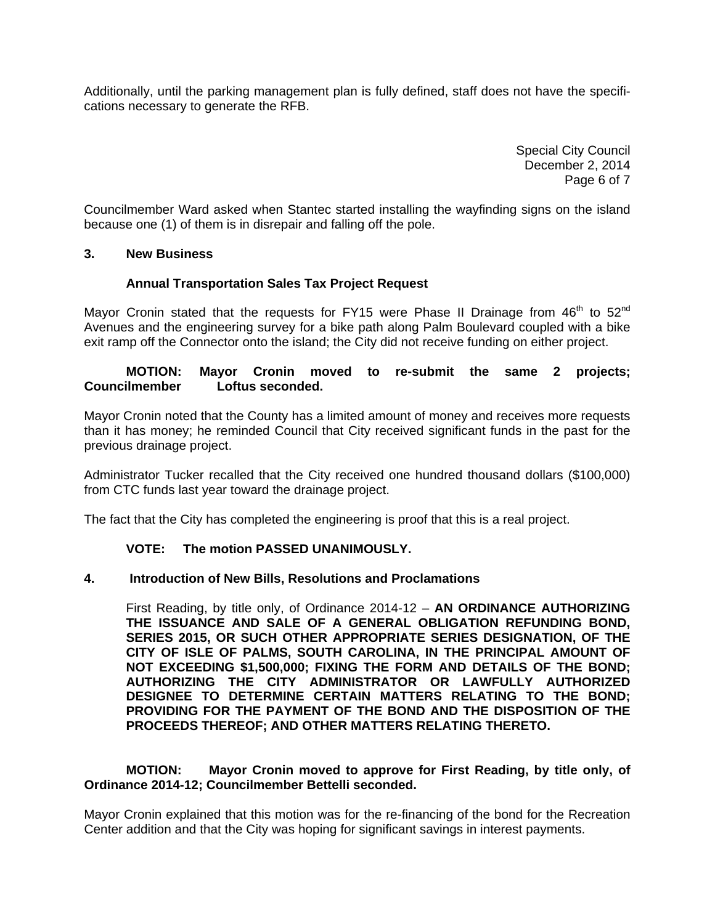Additionally, until the parking management plan is fully defined, staff does not have the specifications necessary to generate the RFB.

> Special City Council December 2, 2014 Page 6 of 7

Councilmember Ward asked when Stantec started installing the wayfinding signs on the island because one (1) of them is in disrepair and falling off the pole.

#### **3. New Business**

# **Annual Transportation Sales Tax Project Request**

Mayor Cronin stated that the requests for FY15 were Phase II Drainage from  $46<sup>th</sup>$  to  $52<sup>nd</sup>$ Avenues and the engineering survey for a bike path along Palm Boulevard coupled with a bike exit ramp off the Connector onto the island; the City did not receive funding on either project.

# **MOTION: Mayor Cronin moved to re-submit the same 2 projects; Councilmember Loftus seconded.**

Mayor Cronin noted that the County has a limited amount of money and receives more requests than it has money; he reminded Council that City received significant funds in the past for the previous drainage project.

Administrator Tucker recalled that the City received one hundred thousand dollars (\$100,000) from CTC funds last year toward the drainage project.

The fact that the City has completed the engineering is proof that this is a real project.

# **VOTE: The motion PASSED UNANIMOUSLY.**

# **4. Introduction of New Bills, Resolutions and Proclamations**

First Reading, by title only, of Ordinance 2014-12 – **AN ORDINANCE AUTHORIZING THE ISSUANCE AND SALE OF A GENERAL OBLIGATION REFUNDING BOND, SERIES 2015, OR SUCH OTHER APPROPRIATE SERIES DESIGNATION, OF THE CITY OF ISLE OF PALMS, SOUTH CAROLINA, IN THE PRINCIPAL AMOUNT OF NOT EXCEEDING \$1,500,000; FIXING THE FORM AND DETAILS OF THE BOND; AUTHORIZING THE CITY ADMINISTRATOR OR LAWFULLY AUTHORIZED DESIGNEE TO DETERMINE CERTAIN MATTERS RELATING TO THE BOND; PROVIDING FOR THE PAYMENT OF THE BOND AND THE DISPOSITION OF THE PROCEEDS THEREOF; AND OTHER MATTERS RELATING THERETO.** 

 **MOTION: Mayor Cronin moved to approve for First Reading, by title only, of Ordinance 2014-12; Councilmember Bettelli seconded.** 

Mayor Cronin explained that this motion was for the re-financing of the bond for the Recreation Center addition and that the City was hoping for significant savings in interest payments.